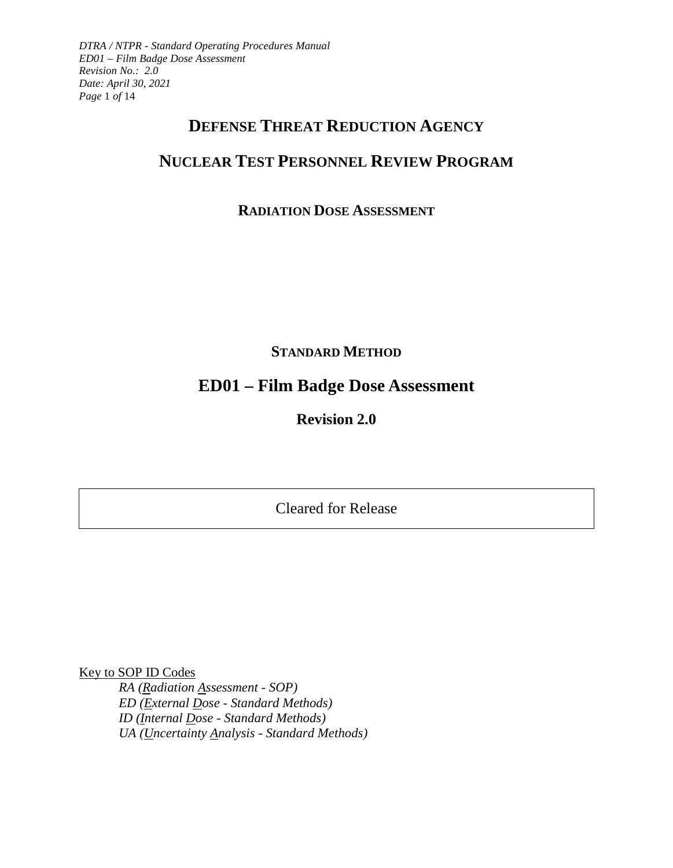*DTRA / NTPR - Standard Operating Procedures Manual ED01 – Film Badge Dose Assessment Revision No.: 2.0 Date: April 30, 2021 Page* 1 *of* 14

# **DEFENSE THREAT REDUCTION AGENCY**

# **NUCLEAR TEST PERSONNEL REVIEW PROGRAM**

# **RADIATION DOSE ASSESSMENT**

**STANDARD METHOD**

# **ED01 – Film Badge Dose Assessment**

**Revision 2.0**

Cleared for Release

Key to SOP ID Codes

*RA (Radiation Assessment - SOP) ED (External Dose - Standard Methods) ID (Internal Dose - Standard Methods) UA (Uncertainty Analysis - Standard Methods)*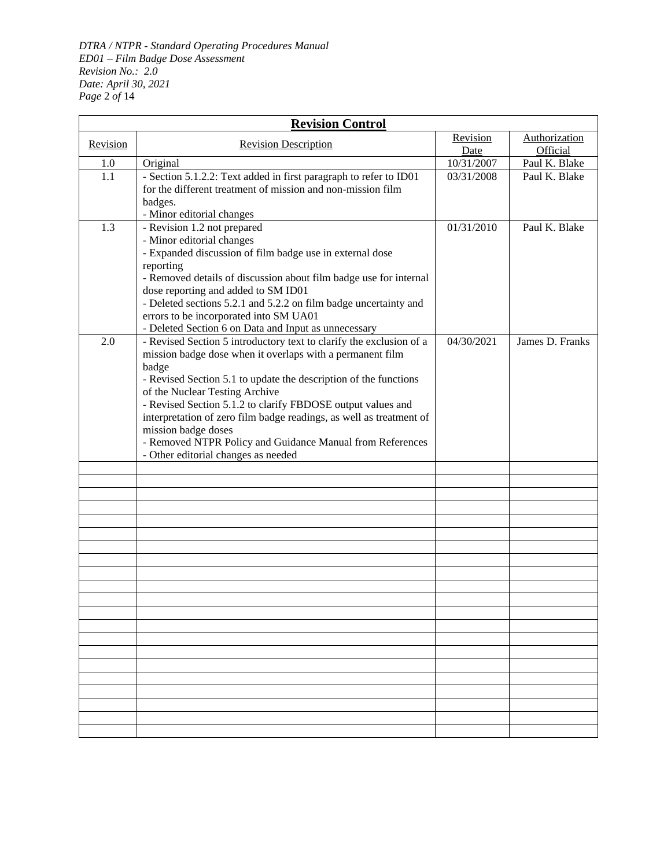*DTRA / NTPR - Standard Operating Procedures Manual ED01 – Film Badge Dose Assessment Revision No.: 2.0 Date: April 30, 2021 Page* 2 *of* 14

| <b>Revision Control</b> |                                                                                                                                                                                                                                                                                                                                                                                                                                                                                                                  |                  |                           |  |  |
|-------------------------|------------------------------------------------------------------------------------------------------------------------------------------------------------------------------------------------------------------------------------------------------------------------------------------------------------------------------------------------------------------------------------------------------------------------------------------------------------------------------------------------------------------|------------------|---------------------------|--|--|
| Revision                | <b>Revision Description</b>                                                                                                                                                                                                                                                                                                                                                                                                                                                                                      | Revision<br>Date | Authorization<br>Official |  |  |
| 1.0                     | Original                                                                                                                                                                                                                                                                                                                                                                                                                                                                                                         | 10/31/2007       | Paul K. Blake             |  |  |
| 1.1                     | - Section 5.1.2.2: Text added in first paragraph to refer to ID01<br>for the different treatment of mission and non-mission film<br>badges.<br>- Minor editorial changes                                                                                                                                                                                                                                                                                                                                         | 03/31/2008       | Paul K. Blake             |  |  |
| 1.3                     | - Revision 1.2 not prepared<br>- Minor editorial changes<br>- Expanded discussion of film badge use in external dose<br>reporting<br>- Removed details of discussion about film badge use for internal<br>dose reporting and added to SM ID01<br>- Deleted sections 5.2.1 and 5.2.2 on film badge uncertainty and<br>errors to be incorporated into SM UA01<br>- Deleted Section 6 on Data and Input as unnecessary                                                                                              | 01/31/2010       | Paul K. Blake             |  |  |
| 2.0                     | - Revised Section 5 introductory text to clarify the exclusion of a<br>mission badge dose when it overlaps with a permanent film<br>badge<br>- Revised Section 5.1 to update the description of the functions<br>of the Nuclear Testing Archive<br>- Revised Section 5.1.2 to clarify FBDOSE output values and<br>interpretation of zero film badge readings, as well as treatment of<br>mission badge doses<br>- Removed NTPR Policy and Guidance Manual from References<br>- Other editorial changes as needed | 04/30/2021       | James D. Franks           |  |  |
|                         |                                                                                                                                                                                                                                                                                                                                                                                                                                                                                                                  |                  |                           |  |  |
|                         |                                                                                                                                                                                                                                                                                                                                                                                                                                                                                                                  |                  |                           |  |  |
|                         |                                                                                                                                                                                                                                                                                                                                                                                                                                                                                                                  |                  |                           |  |  |
|                         |                                                                                                                                                                                                                                                                                                                                                                                                                                                                                                                  |                  |                           |  |  |
|                         |                                                                                                                                                                                                                                                                                                                                                                                                                                                                                                                  |                  |                           |  |  |
|                         |                                                                                                                                                                                                                                                                                                                                                                                                                                                                                                                  |                  |                           |  |  |
|                         |                                                                                                                                                                                                                                                                                                                                                                                                                                                                                                                  |                  |                           |  |  |
|                         |                                                                                                                                                                                                                                                                                                                                                                                                                                                                                                                  |                  |                           |  |  |
|                         |                                                                                                                                                                                                                                                                                                                                                                                                                                                                                                                  |                  |                           |  |  |
|                         |                                                                                                                                                                                                                                                                                                                                                                                                                                                                                                                  |                  |                           |  |  |
|                         |                                                                                                                                                                                                                                                                                                                                                                                                                                                                                                                  |                  |                           |  |  |
|                         |                                                                                                                                                                                                                                                                                                                                                                                                                                                                                                                  |                  |                           |  |  |
|                         |                                                                                                                                                                                                                                                                                                                                                                                                                                                                                                                  |                  |                           |  |  |
|                         |                                                                                                                                                                                                                                                                                                                                                                                                                                                                                                                  |                  |                           |  |  |
|                         |                                                                                                                                                                                                                                                                                                                                                                                                                                                                                                                  |                  |                           |  |  |
|                         |                                                                                                                                                                                                                                                                                                                                                                                                                                                                                                                  |                  |                           |  |  |
|                         |                                                                                                                                                                                                                                                                                                                                                                                                                                                                                                                  |                  |                           |  |  |
|                         |                                                                                                                                                                                                                                                                                                                                                                                                                                                                                                                  |                  |                           |  |  |
|                         |                                                                                                                                                                                                                                                                                                                                                                                                                                                                                                                  |                  |                           |  |  |
|                         |                                                                                                                                                                                                                                                                                                                                                                                                                                                                                                                  |                  |                           |  |  |
|                         |                                                                                                                                                                                                                                                                                                                                                                                                                                                                                                                  |                  |                           |  |  |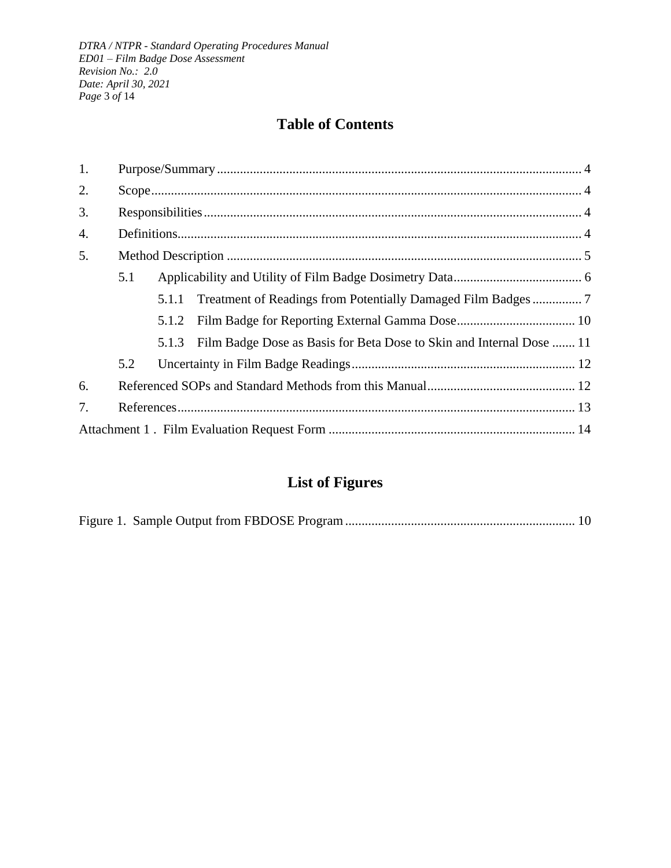# **Table of Contents**

| 1. |     |       |                                                                      |
|----|-----|-------|----------------------------------------------------------------------|
| 2. |     |       |                                                                      |
| 3. |     |       |                                                                      |
| 4. |     |       |                                                                      |
| 5. |     |       |                                                                      |
|    | 5.1 |       |                                                                      |
|    |     | 5.1.1 |                                                                      |
|    |     | 5.1.2 |                                                                      |
|    |     | 5.1.3 | Film Badge Dose as Basis for Beta Dose to Skin and Internal Dose  11 |
|    | 5.2 |       |                                                                      |
| 6. |     |       |                                                                      |
| 7. |     |       |                                                                      |
|    |     |       |                                                                      |

# **List of Figures**

|--|--|--|--|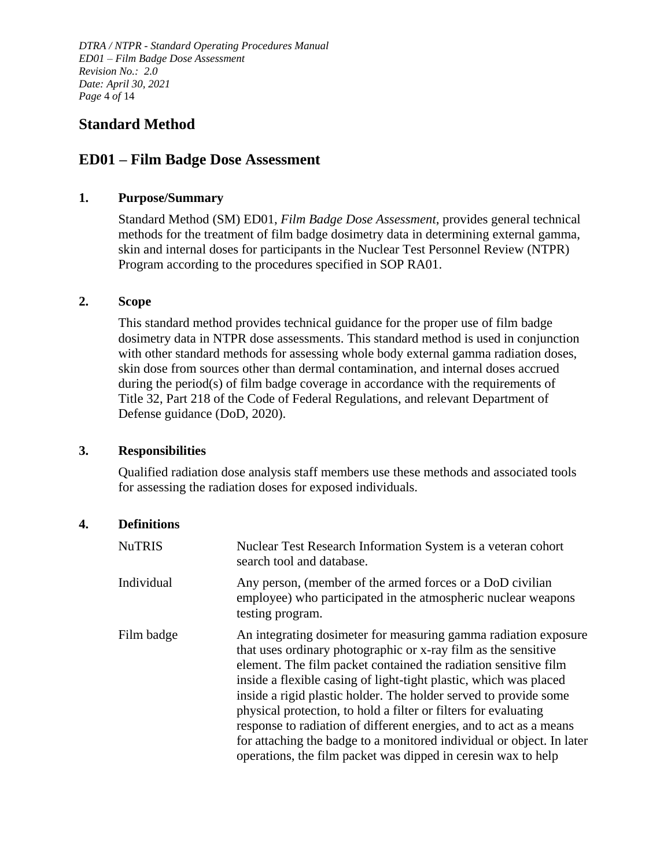*DTRA / NTPR - Standard Operating Procedures Manual ED01 – Film Badge Dose Assessment Revision No.: 2.0 Date: April 30, 2021 Page* 4 *of* 14

## **Standard Method**

## **ED01 – Film Badge Dose Assessment**

#### <span id="page-3-0"></span>**1. Purpose/Summary**

Standard Method (SM) ED01, *Film Badge Dose Assessment*, provides general technical methods for the treatment of film badge dosimetry data in determining external gamma, skin and internal doses for participants in the Nuclear Test Personnel Review (NTPR) Program according to the procedures specified in SOP RA01.

#### <span id="page-3-1"></span>**2. Scope**

This standard method provides technical guidance for the proper use of film badge dosimetry data in NTPR dose assessments. This standard method is used in conjunction with other standard methods for assessing whole body external gamma radiation doses, skin dose from sources other than dermal contamination, and internal doses accrued during the period(s) of film badge coverage in accordance with the requirements of Title 32, Part 218 of the Code of Federal Regulations, and relevant Department of Defense guidance (DoD, 2020).

#### <span id="page-3-2"></span>**3. Responsibilities**

Qualified radiation dose analysis staff members use these methods and associated tools for assessing the radiation doses for exposed individuals.

#### <span id="page-3-3"></span>**4. Definitions**

| <b>NuTRIS</b> | Nuclear Test Research Information System is a veteran cohort<br>search tool and database.                                                                                                                                                                                                                                                                                                                                                                                                                                                                                                                                        |
|---------------|----------------------------------------------------------------------------------------------------------------------------------------------------------------------------------------------------------------------------------------------------------------------------------------------------------------------------------------------------------------------------------------------------------------------------------------------------------------------------------------------------------------------------------------------------------------------------------------------------------------------------------|
| Individual    | Any person, (member of the armed forces or a DoD civilian<br>employee) who participated in the atmospheric nuclear weapons<br>testing program.                                                                                                                                                                                                                                                                                                                                                                                                                                                                                   |
| Film badge    | An integrating dosimeter for measuring gamma radiation exposure<br>that uses ordinary photographic or x-ray film as the sensitive<br>element. The film packet contained the radiation sensitive film<br>inside a flexible casing of light-tight plastic, which was placed<br>inside a rigid plastic holder. The holder served to provide some<br>physical protection, to hold a filter or filters for evaluating<br>response to radiation of different energies, and to act as a means<br>for attaching the badge to a monitored individual or object. In later<br>operations, the film packet was dipped in ceresin wax to help |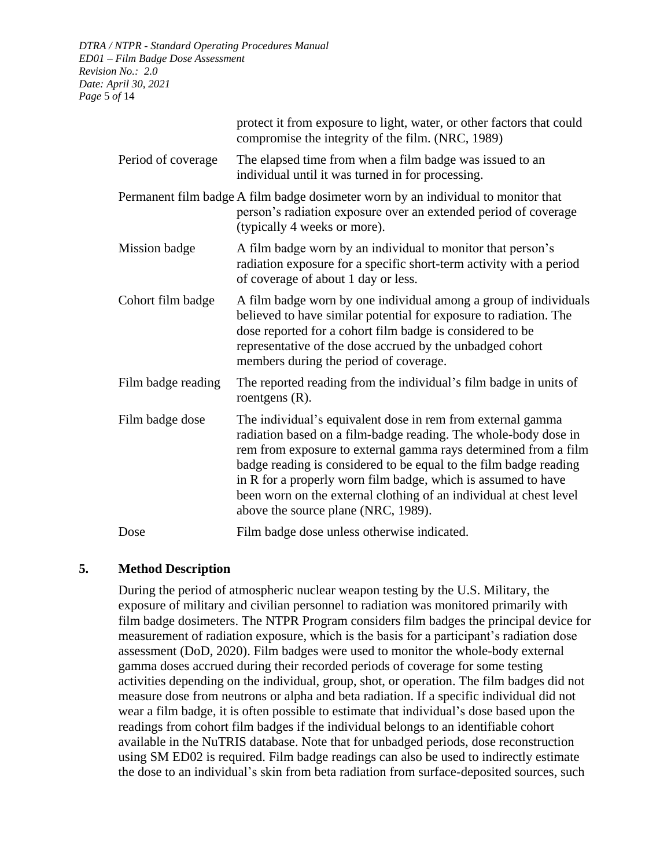|                    | protect it from exposure to light, water, or other factors that could<br>compromise the integrity of the film. (NRC, 1989)                                                                                                                                                                                                                                                                                                                           |  |  |  |
|--------------------|------------------------------------------------------------------------------------------------------------------------------------------------------------------------------------------------------------------------------------------------------------------------------------------------------------------------------------------------------------------------------------------------------------------------------------------------------|--|--|--|
| Period of coverage | The elapsed time from when a film badge was issued to an<br>individual until it was turned in for processing.                                                                                                                                                                                                                                                                                                                                        |  |  |  |
|                    | Permanent film badge A film badge dosimeter worn by an individual to monitor that<br>person's radiation exposure over an extended period of coverage<br>(typically 4 weeks or more).                                                                                                                                                                                                                                                                 |  |  |  |
| Mission badge      | A film badge worn by an individual to monitor that person's<br>radiation exposure for a specific short-term activity with a period<br>of coverage of about 1 day or less.                                                                                                                                                                                                                                                                            |  |  |  |
| Cohort film badge  | A film badge worn by one individual among a group of individuals<br>believed to have similar potential for exposure to radiation. The<br>dose reported for a cohort film badge is considered to be<br>representative of the dose accrued by the unbadged cohort<br>members during the period of coverage.                                                                                                                                            |  |  |  |
| Film badge reading | The reported reading from the individual's film badge in units of<br>roentgens $(R)$ .                                                                                                                                                                                                                                                                                                                                                               |  |  |  |
| Film badge dose    | The individual's equivalent dose in rem from external gamma<br>radiation based on a film-badge reading. The whole-body dose in<br>rem from exposure to external gamma rays determined from a film<br>badge reading is considered to be equal to the film badge reading<br>in R for a properly worn film badge, which is assumed to have<br>been worn on the external clothing of an individual at chest level<br>above the source plane (NRC, 1989). |  |  |  |
| Dose               | Film badge dose unless otherwise indicated.                                                                                                                                                                                                                                                                                                                                                                                                          |  |  |  |

## <span id="page-4-0"></span>**5. Method Description**

During the period of atmospheric nuclear weapon testing by the U.S. Military, the exposure of military and civilian personnel to radiation was monitored primarily with film badge dosimeters. The NTPR Program considers film badges the principal device for measurement of radiation exposure, which is the basis for a participant's radiation dose assessment (DoD, 2020). Film badges were used to monitor the whole-body external gamma doses accrued during their recorded periods of coverage for some testing activities depending on the individual, group, shot, or operation. The film badges did not measure dose from neutrons or alpha and beta radiation. If a specific individual did not wear a film badge, it is often possible to estimate that individual's dose based upon the readings from cohort film badges if the individual belongs to an identifiable cohort available in the NuTRIS database. Note that for unbadged periods, dose reconstruction using SM ED02 is required. Film badge readings can also be used to indirectly estimate the dose to an individual's skin from beta radiation from surface-deposited sources, such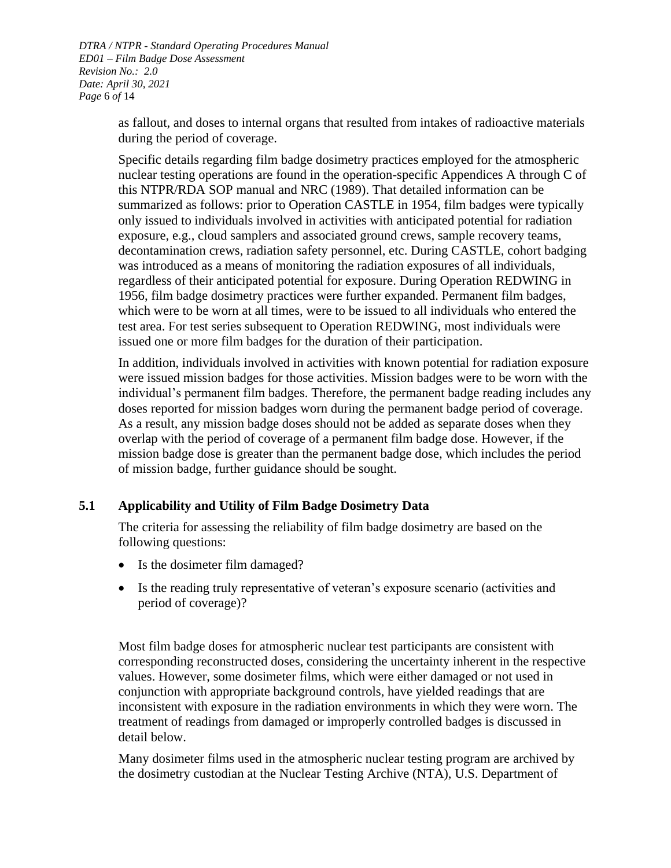*DTRA / NTPR - Standard Operating Procedures Manual ED01 – Film Badge Dose Assessment Revision No.: 2.0 Date: April 30, 2021 Page* 6 *of* 14

> as fallout, and doses to internal organs that resulted from intakes of radioactive materials during the period of coverage.

> Specific details regarding film badge dosimetry practices employed for the atmospheric nuclear testing operations are found in the operation-specific Appendices A through C of this NTPR/RDA SOP manual and NRC (1989). That detailed information can be summarized as follows: prior to Operation CASTLE in 1954, film badges were typically only issued to individuals involved in activities with anticipated potential for radiation exposure, e.g., cloud samplers and associated ground crews, sample recovery teams, decontamination crews, radiation safety personnel, etc. During CASTLE, cohort badging was introduced as a means of monitoring the radiation exposures of all individuals, regardless of their anticipated potential for exposure. During Operation REDWING in 1956, film badge dosimetry practices were further expanded. Permanent film badges, which were to be worn at all times, were to be issued to all individuals who entered the test area. For test series subsequent to Operation REDWING, most individuals were issued one or more film badges for the duration of their participation.

> In addition, individuals involved in activities with known potential for radiation exposure were issued mission badges for those activities. Mission badges were to be worn with the individual's permanent film badges. Therefore, the permanent badge reading includes any doses reported for mission badges worn during the permanent badge period of coverage. As a result, any mission badge doses should not be added as separate doses when they overlap with the period of coverage of a permanent film badge dose. However, if the mission badge dose is greater than the permanent badge dose, which includes the period of mission badge, further guidance should be sought.

## <span id="page-5-0"></span>**5.1 Applicability and Utility of Film Badge Dosimetry Data**

The criteria for assessing the reliability of film badge dosimetry are based on the following questions:

- Is the dosimeter film damaged?
- Is the reading truly representative of veteran's exposure scenario (activities and period of coverage)?

Most film badge doses for atmospheric nuclear test participants are consistent with corresponding reconstructed doses, considering the uncertainty inherent in the respective values. However, some dosimeter films, which were either damaged or not used in conjunction with appropriate background controls, have yielded readings that are inconsistent with exposure in the radiation environments in which they were worn. The treatment of readings from damaged or improperly controlled badges is discussed in detail below.

Many dosimeter films used in the atmospheric nuclear testing program are archived by the dosimetry custodian at the Nuclear Testing Archive (NTA), U.S. Department of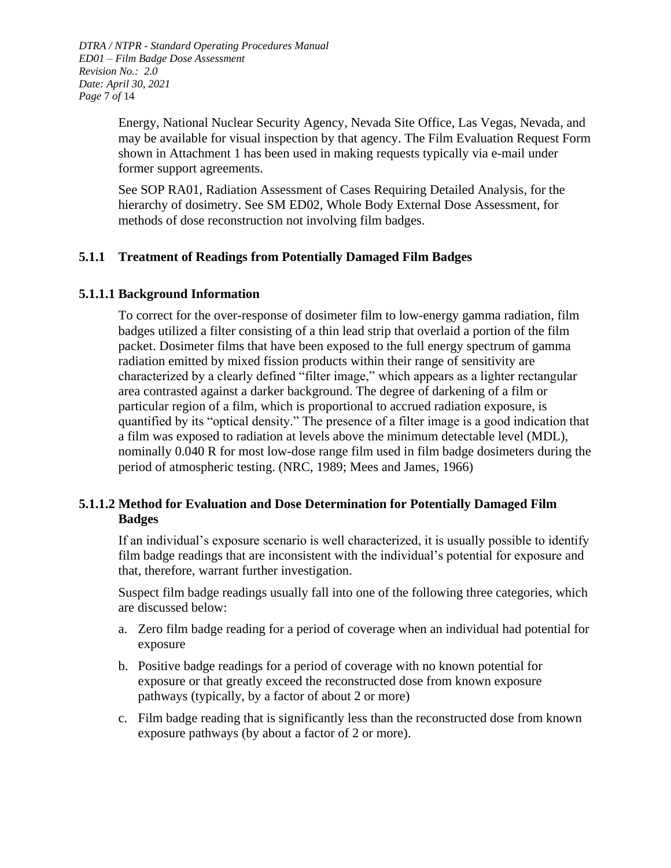*DTRA / NTPR - Standard Operating Procedures Manual ED01 – Film Badge Dose Assessment Revision No.: 2.0 Date: April 30, 2021 Page* 7 *of* 14

> Energy, National Nuclear Security Agency, Nevada Site Office, Las Vegas, Nevada, and may be available for visual inspection by that agency. The Film Evaluation Request Form shown in [Attachment 1](#page-13-1) has been used in making requests typically via e-mail under former support agreements.

See SOP RA01, Radiation Assessment of Cases Requiring Detailed Analysis, for the hierarchy of dosimetry. See SM ED02, Whole Body External Dose Assessment, for methods of dose reconstruction not involving film badges.

## <span id="page-6-0"></span>**5.1.1 Treatment of Readings from Potentially Damaged Film Badges**

## **5.1.1.1 Background Information**

To correct for the over-response of dosimeter film to low-energy gamma radiation, film badges utilized a filter consisting of a thin lead strip that overlaid a portion of the film packet. Dosimeter films that have been exposed to the full energy spectrum of gamma radiation emitted by mixed fission products within their range of sensitivity are characterized by a clearly defined "filter image," which appears as a lighter rectangular area contrasted against a darker background. The degree of darkening of a film or particular region of a film, which is proportional to accrued radiation exposure, is quantified by its "optical density." The presence of a filter image is a good indication that a film was exposed to radiation at levels above the minimum detectable level (MDL), nominally 0.040 R for most low-dose range film used in film badge dosimeters during the period of atmospheric testing. (NRC, 1989; Mees and James, 1966)

## **5.1.1.2 Method for Evaluation and Dose Determination for Potentially Damaged Film Badges**

If an individual's exposure scenario is well characterized, it is usually possible to identify film badge readings that are inconsistent with the individual's potential for exposure and that, therefore, warrant further investigation.

Suspect film badge readings usually fall into one of the following three categories, which are discussed below:

- a. Zero film badge reading for a period of coverage when an individual had potential for exposure
- b. Positive badge readings for a period of coverage with no known potential for exposure or that greatly exceed the reconstructed dose from known exposure pathways (typically, by a factor of about 2 or more)
- c. Film badge reading that is significantly less than the reconstructed dose from known exposure pathways (by about a factor of 2 or more).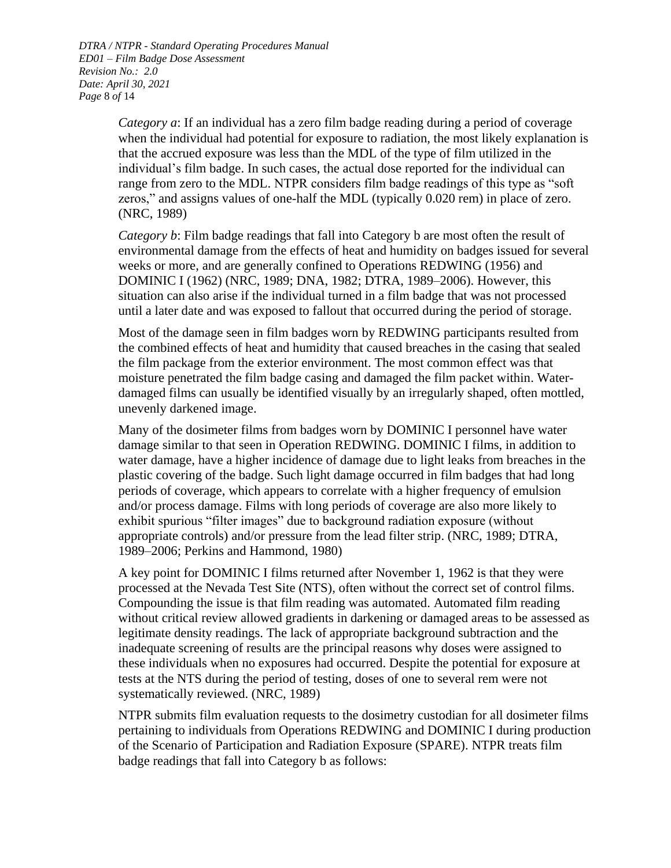*DTRA / NTPR - Standard Operating Procedures Manual ED01 – Film Badge Dose Assessment Revision No.: 2.0 Date: April 30, 2021 Page* 8 *of* 14

> *Category a*: If an individual has a zero film badge reading during a period of coverage when the individual had potential for exposure to radiation, the most likely explanation is that the accrued exposure was less than the MDL of the type of film utilized in the individual's film badge. In such cases, the actual dose reported for the individual can range from zero to the MDL. NTPR considers film badge readings of this type as "soft zeros," and assigns values of one-half the MDL (typically 0.020 rem) in place of zero. (NRC, 1989)

> *Category b*: Film badge readings that fall into Category b are most often the result of environmental damage from the effects of heat and humidity on badges issued for several weeks or more, and are generally confined to Operations REDWING (1956) and DOMINIC I (1962) (NRC, 1989; DNA, 1982; DTRA, 1989–2006). However, this situation can also arise if the individual turned in a film badge that was not processed until a later date and was exposed to fallout that occurred during the period of storage.

> Most of the damage seen in film badges worn by REDWING participants resulted from the combined effects of heat and humidity that caused breaches in the casing that sealed the film package from the exterior environment. The most common effect was that moisture penetrated the film badge casing and damaged the film packet within. Waterdamaged films can usually be identified visually by an irregularly shaped, often mottled, unevenly darkened image.

> Many of the dosimeter films from badges worn by DOMINIC I personnel have water damage similar to that seen in Operation REDWING. DOMINIC I films, in addition to water damage, have a higher incidence of damage due to light leaks from breaches in the plastic covering of the badge. Such light damage occurred in film badges that had long periods of coverage, which appears to correlate with a higher frequency of emulsion and/or process damage. Films with long periods of coverage are also more likely to exhibit spurious "filter images" due to background radiation exposure (without appropriate controls) and/or pressure from the lead filter strip. (NRC, 1989; DTRA, 1989–2006; Perkins and Hammond, 1980)

> A key point for DOMINIC I films returned after November 1, 1962 is that they were processed at the Nevada Test Site (NTS), often without the correct set of control films. Compounding the issue is that film reading was automated. Automated film reading without critical review allowed gradients in darkening or damaged areas to be assessed as legitimate density readings. The lack of appropriate background subtraction and the inadequate screening of results are the principal reasons why doses were assigned to these individuals when no exposures had occurred. Despite the potential for exposure at tests at the NTS during the period of testing, doses of one to several rem were not systematically reviewed. (NRC, 1989)

> NTPR submits film evaluation requests to the dosimetry custodian for all dosimeter films pertaining to individuals from Operations REDWING and DOMINIC I during production of the Scenario of Participation and Radiation Exposure (SPARE). NTPR treats film badge readings that fall into Category b as follows: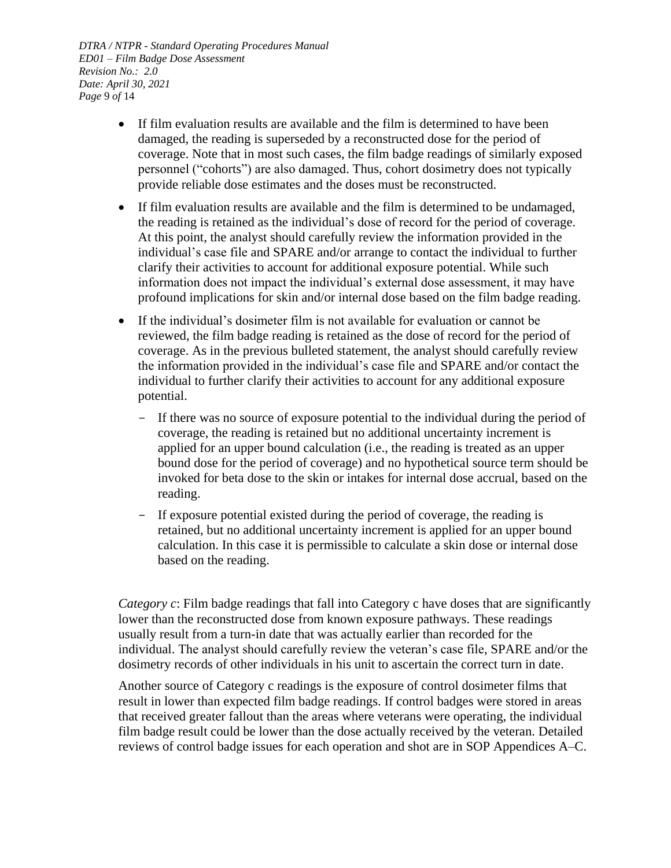*DTRA / NTPR - Standard Operating Procedures Manual ED01 – Film Badge Dose Assessment Revision No.: 2.0 Date: April 30, 2021 Page* 9 *of* 14

- If film evaluation results are available and the film is determined to have been damaged, the reading is superseded by a reconstructed dose for the period of coverage. Note that in most such cases, the film badge readings of similarly exposed personnel ("cohorts") are also damaged. Thus, cohort dosimetry does not typically provide reliable dose estimates and the doses must be reconstructed.
- If film evaluation results are available and the film is determined to be undamaged, the reading is retained as the individual's dose of record for the period of coverage. At this point, the analyst should carefully review the information provided in the individual's case file and SPARE and/or arrange to contact the individual to further clarify their activities to account for additional exposure potential. While such information does not impact the individual's external dose assessment, it may have profound implications for skin and/or internal dose based on the film badge reading.
- If the individual's dosimeter film is not available for evaluation or cannot be reviewed, the film badge reading is retained as the dose of record for the period of coverage. As in the previous bulleted statement, the analyst should carefully review the information provided in the individual's case file and SPARE and/or contact the individual to further clarify their activities to account for any additional exposure potential.
	- If there was no source of exposure potential to the individual during the period of coverage, the reading is retained but no additional uncertainty increment is applied for an upper bound calculation (i.e., the reading is treated as an upper bound dose for the period of coverage) and no hypothetical source term should be invoked for beta dose to the skin or intakes for internal dose accrual, based on the reading.
	- If exposure potential existed during the period of coverage, the reading is retained, but no additional uncertainty increment is applied for an upper bound calculation. In this case it is permissible to calculate a skin dose or internal dose based on the reading.

*Category c*: Film badge readings that fall into Category c have doses that are significantly lower than the reconstructed dose from known exposure pathways. These readings usually result from a turn-in date that was actually earlier than recorded for the individual. The analyst should carefully review the veteran's case file, SPARE and/or the dosimetry records of other individuals in his unit to ascertain the correct turn in date.

Another source of Category c readings is the exposure of control dosimeter films that result in lower than expected film badge readings. If control badges were stored in areas that received greater fallout than the areas where veterans were operating, the individual film badge result could be lower than the dose actually received by the veteran. Detailed reviews of control badge issues for each operation and shot are in SOP Appendices A–C.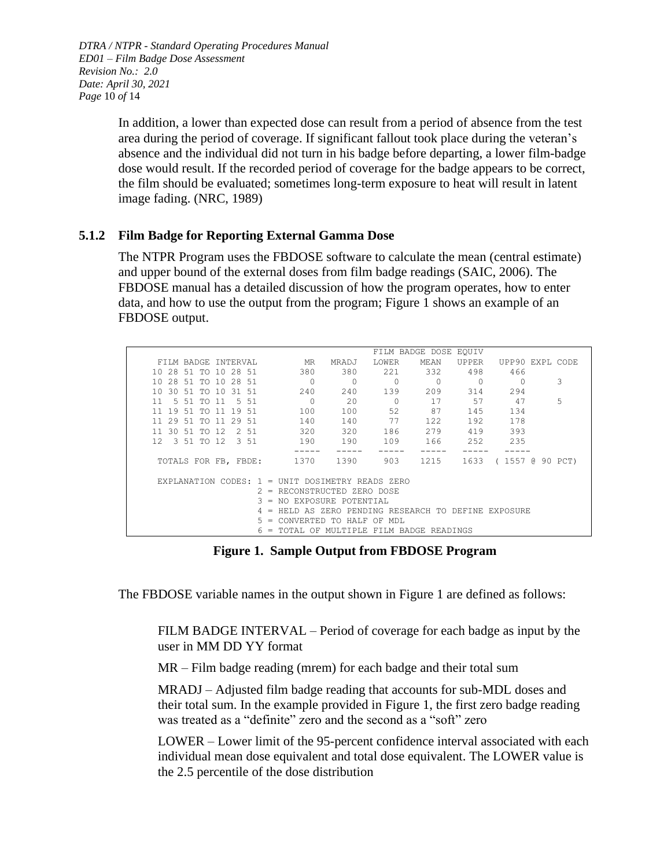*DTRA / NTPR - Standard Operating Procedures Manual ED01 – Film Badge Dose Assessment Revision No.: 2.0 Date: April 30, 2021 Page* 10 *of* 14

> In addition, a lower than expected dose can result from a period of absence from the test area during the period of coverage. If significant fallout took place during the veteran's absence and the individual did not turn in his badge before departing, a lower film-badge dose would result. If the recorded period of coverage for the badge appears to be correct, the film should be evaluated; sometimes long-term exposure to heat will result in latent image fading. (NRC, 1989)

## <span id="page-9-0"></span>**5.1.2 Film Badge for Reporting External Gamma Dose**

The NTPR Program uses the FBDOSE software to calculate the mean (central estimate) and upper bound of the external doses from film badge readings (SAIC, 2006). The FBDOSE manual has a detailed discussion of how the program operates, how to enter data, and how to use the output from the program; [Figure](#page-9-1) 1 shows an example of an FBDOSE output.

| FILM BADGE DOSE EQUIV                                                           |   |  |  |  |  |  |
|---------------------------------------------------------------------------------|---|--|--|--|--|--|
| MR<br>LOWER<br>MEAN<br>UPP90 EXPL CODE<br>FILM BADGE INTERVAL<br>MRADJ<br>UPPER |   |  |  |  |  |  |
| 221<br>332<br>380<br>380<br>498<br>10 28 51 TO 10 28 51<br>466                  |   |  |  |  |  |  |
| $\Omega$<br>$\Omega$<br>10 28 51 TO 10 28 51<br>0<br>$\Omega$                   | 3 |  |  |  |  |  |
| 240<br>139<br>209<br>314<br>294<br>240<br>1 N<br>30 51 TO 10<br>31 51           |   |  |  |  |  |  |
| 2.0<br>57<br>47<br>$\Omega$<br>17<br>11<br>5 51 TO 11<br>5 51<br><sup>0</sup>   | 5 |  |  |  |  |  |
| 52<br>87<br>100<br>100<br>145<br>134<br>11<br>19 51 TO 11 19 51                 |   |  |  |  |  |  |
| 192<br>140<br>140<br>77<br>122<br>178<br>11 29 51 TO 11 29 51                   |   |  |  |  |  |  |
| 279<br>320<br>320<br>186<br>419<br>393<br>11 30 51 TO 12<br>2 51                |   |  |  |  |  |  |
| 235<br>190<br>252<br>3 51 TO 12 3 51<br>190<br>109<br>166<br>12                 |   |  |  |  |  |  |
|                                                                                 |   |  |  |  |  |  |
| 903<br>1370<br>1215<br>1633<br>1390<br>(1557 @ 90 PCT)<br>TOTALS FOR FB, FBDE:  |   |  |  |  |  |  |
|                                                                                 |   |  |  |  |  |  |
| EXPLANATION CODES: $1 =$ UNIT DOSIMETRY READS ZERO                              |   |  |  |  |  |  |
| $2$ = RECONSTRUCTED ZERO DOSE                                                   |   |  |  |  |  |  |
| = NO EXPOSURE POTENTIAL                                                         |   |  |  |  |  |  |
| HELD AS ZERO PENDING RESEARCH TO DEFINE EXPOSURE<br>$\equiv$                    |   |  |  |  |  |  |
| CONVERTED TO HALF<br>OF<br>MDT.<br>$=$                                          |   |  |  |  |  |  |
| FILM BADGE READINGS<br>MULTTPLE<br>= TOTAL OF                                   |   |  |  |  |  |  |

**Figure 1. Sample Output from FBDOSE Program**

<span id="page-9-1"></span>The FBDOSE variable names in the output shown in [Figure](#page-9-1) 1 are defined as follows:

FILM BADGE INTERVAL – Period of coverage for each badge as input by the user in MM DD YY format

MR – Film badge reading (mrem) for each badge and their total sum

MRADJ – Adjusted film badge reading that accounts for sub-MDL doses and their total sum. In the example provided in [Figure](#page-9-1) 1, the first zero badge reading was treated as a "definite" zero and the second as a "soft" zero

LOWER – Lower limit of the 95-percent confidence interval associated with each individual mean dose equivalent and total dose equivalent. The LOWER value is the 2.5 percentile of the dose distribution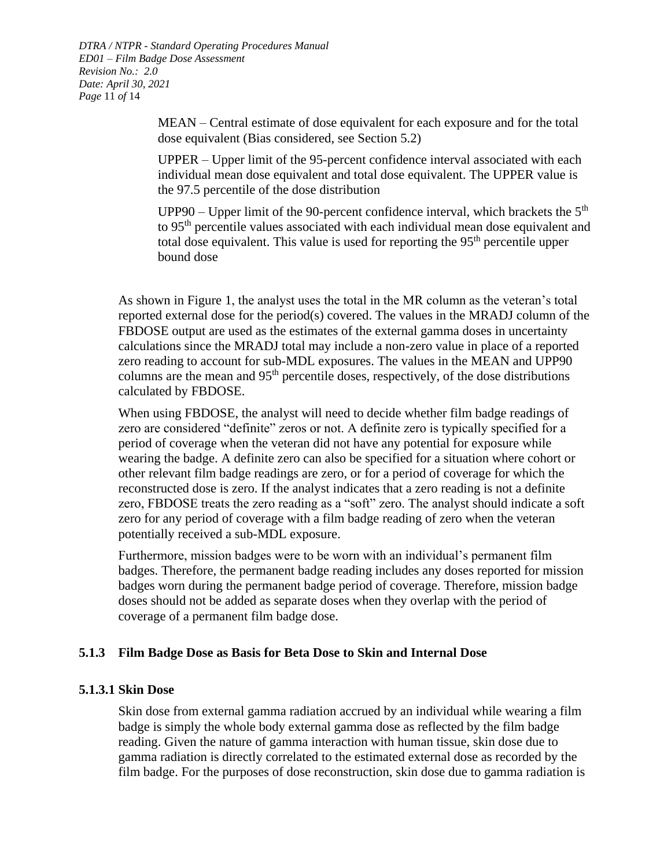*DTRA / NTPR - Standard Operating Procedures Manual ED01 – Film Badge Dose Assessment Revision No.: 2.0 Date: April 30, 2021 Page* 11 *of* 14

> MEAN – Central estimate of dose equivalent for each exposure and for the total dose equivalent (Bias considered, see Section 5.2)

> UPPER – Upper limit of the 95-percent confidence interval associated with each individual mean dose equivalent and total dose equivalent. The UPPER value is the 97.5 percentile of the dose distribution

UPP90 – Upper limit of the 90-percent confidence interval, which brackets the  $5<sup>th</sup>$ to 95th percentile values associated with each individual mean dose equivalent and total dose equivalent. This value is used for reporting the  $95<sup>th</sup>$  percentile upper bound dose

As shown in [Figure](#page-9-1) 1, the analyst uses the total in the MR column as the veteran's total reported external dose for the period(s) covered. The values in the MRADJ column of the FBDOSE output are used as the estimates of the external gamma doses in uncertainty calculations since the MRADJ total may include a non-zero value in place of a reported zero reading to account for sub-MDL exposures. The values in the MEAN and UPP90 columns are the mean and 95th percentile doses, respectively, of the dose distributions calculated by FBDOSE.

When using FBDOSE, the analyst will need to decide whether film badge readings of zero are considered "definite" zeros or not. A definite zero is typically specified for a period of coverage when the veteran did not have any potential for exposure while wearing the badge. A definite zero can also be specified for a situation where cohort or other relevant film badge readings are zero, or for a period of coverage for which the reconstructed dose is zero. If the analyst indicates that a zero reading is not a definite zero, FBDOSE treats the zero reading as a "soft" zero. The analyst should indicate a soft zero for any period of coverage with a film badge reading of zero when the veteran potentially received a sub-MDL exposure.

Furthermore, mission badges were to be worn with an individual's permanent film badges. Therefore, the permanent badge reading includes any doses reported for mission badges worn during the permanent badge period of coverage. Therefore, mission badge doses should not be added as separate doses when they overlap with the period of coverage of a permanent film badge dose.

## <span id="page-10-0"></span>**5.1.3 Film Badge Dose as Basis for Beta Dose to Skin and Internal Dose**

## **5.1.3.1 Skin Dose**

Skin dose from external gamma radiation accrued by an individual while wearing a film badge is simply the whole body external gamma dose as reflected by the film badge reading. Given the nature of gamma interaction with human tissue, skin dose due to gamma radiation is directly correlated to the estimated external dose as recorded by the film badge. For the purposes of dose reconstruction, skin dose due to gamma radiation is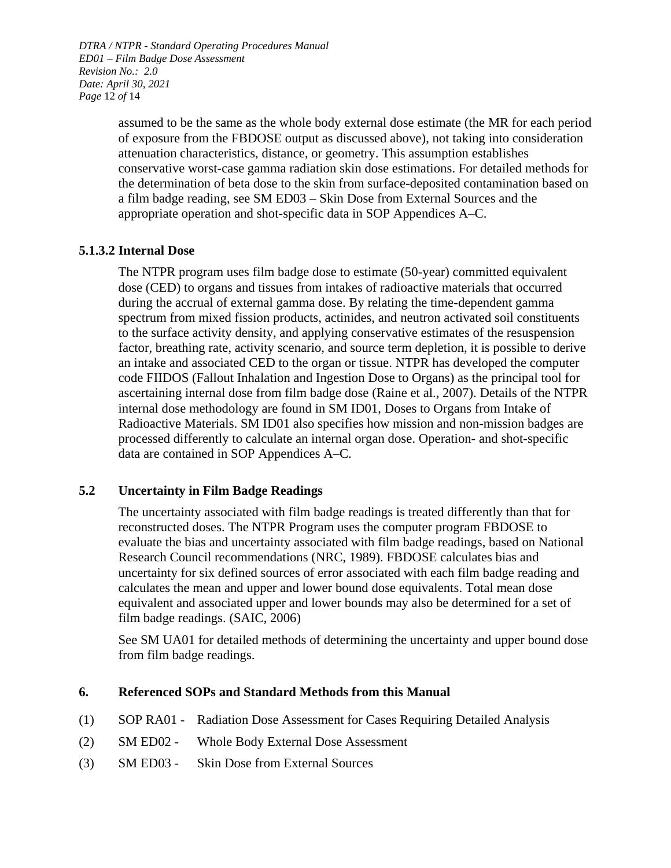*DTRA / NTPR - Standard Operating Procedures Manual ED01 – Film Badge Dose Assessment Revision No.: 2.0 Date: April 30, 2021 Page* 12 *of* 14

> assumed to be the same as the whole body external dose estimate (the MR for each period of exposure from the FBDOSE output as discussed above), not taking into consideration attenuation characteristics, distance, or geometry. This assumption establishes conservative worst-case gamma radiation skin dose estimations. For detailed methods for the determination of beta dose to the skin from surface-deposited contamination based on a film badge reading, see SM ED03 – Skin Dose from External Sources and the appropriate operation and shot-specific data in SOP Appendices A–C.

## **5.1.3.2 Internal Dose**

The NTPR program uses film badge dose to estimate (50-year) committed equivalent dose (CED) to organs and tissues from intakes of radioactive materials that occurred during the accrual of external gamma dose. By relating the time-dependent gamma spectrum from mixed fission products, actinides, and neutron activated soil constituents to the surface activity density, and applying conservative estimates of the resuspension factor, breathing rate, activity scenario, and source term depletion, it is possible to derive an intake and associated CED to the organ or tissue. NTPR has developed the computer code FIIDOS (Fallout Inhalation and Ingestion Dose to Organs) as the principal tool for ascertaining internal dose from film badge dose (Raine et al., 2007). Details of the NTPR internal dose methodology are found in SM ID01, Doses to Organs from Intake of Radioactive Materials. SM ID01 also specifies how mission and non-mission badges are processed differently to calculate an internal organ dose. Operation- and shot-specific data are contained in SOP Appendices A–C.

## <span id="page-11-0"></span>**5.2 Uncertainty in Film Badge Readings**

The uncertainty associated with film badge readings is treated differently than that for reconstructed doses. The NTPR Program uses the computer program FBDOSE to evaluate the bias and uncertainty associated with film badge readings, based on National Research Council recommendations (NRC, 1989). FBDOSE calculates bias and uncertainty for six defined sources of error associated with each film badge reading and calculates the mean and upper and lower bound dose equivalents. Total mean dose equivalent and associated upper and lower bounds may also be determined for a set of film badge readings. (SAIC, 2006)

See SM UA01 for detailed methods of determining the uncertainty and upper bound dose from film badge readings.

#### <span id="page-11-1"></span>**6. Referenced SOPs and Standard Methods from this Manual**

- (1) SOP RA01 Radiation Dose Assessment for Cases Requiring Detailed Analysis
- (2) SM ED02 Whole Body External Dose Assessment
- (3) SM ED03 Skin Dose from External Sources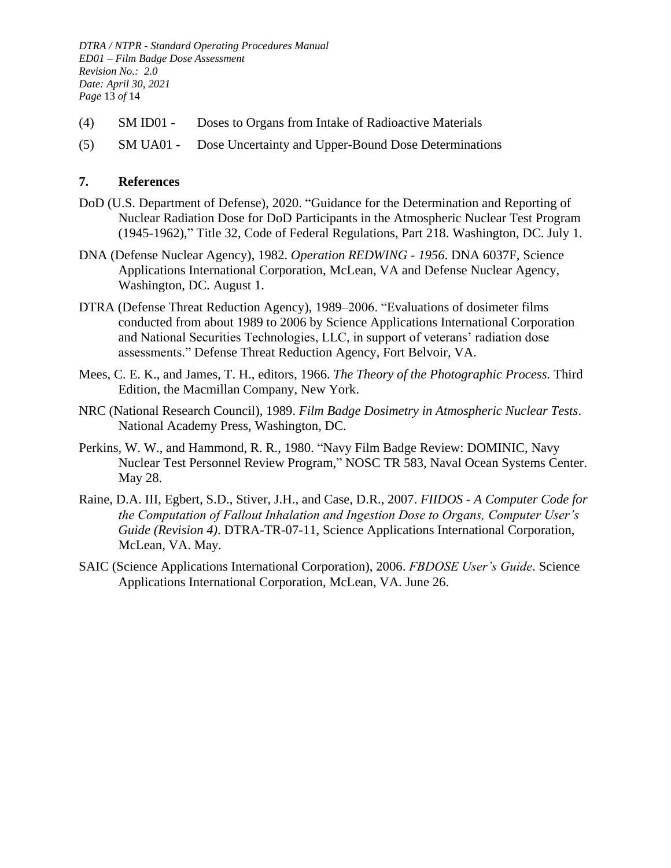*DTRA / NTPR - Standard Operating Procedures Manual ED01 – Film Badge Dose Assessment Revision No.: 2.0 Date: April 30, 2021 Page* 13 *of* 14

- (4) SM ID01 Doses to Organs from Intake of Radioactive Materials
- (5) SM UA01 Dose Uncertainty and Upper-Bound Dose Determinations

#### <span id="page-12-0"></span>**7. References**

- DoD (U.S. Department of Defense), 2020. "Guidance for the Determination and Reporting of Nuclear Radiation Dose for DoD Participants in the Atmospheric Nuclear Test Program (1945-1962)," Title 32, Code of Federal Regulations, Part 218. Washington, DC. July 1.
- DNA (Defense Nuclear Agency), 1982. *Operation REDWING - 1956*. DNA 6037F, Science Applications International Corporation, McLean, VA and Defense Nuclear Agency, Washington, DC. August 1.
- DTRA (Defense Threat Reduction Agency), 1989–2006. "Evaluations of dosimeter films conducted from about 1989 to 2006 by Science Applications International Corporation and National Securities Technologies, LLC, in support of veterans' radiation dose assessments." Defense Threat Reduction Agency, Fort Belvoir, VA.
- Mees, C. E. K., and James, T. H., editors, 1966. *The Theory of the Photographic Process.* Third Edition, the Macmillan Company, New York.
- NRC (National Research Council), 1989. *Film Badge Dosimetry in Atmospheric Nuclear Tests*. National Academy Press, Washington, DC.
- Perkins, W. W., and Hammond, R. R., 1980. "Navy Film Badge Review: DOMINIC, Navy Nuclear Test Personnel Review Program," NOSC TR 583, Naval Ocean Systems Center. May 28.
- Raine, D.A. III, Egbert, S.D., Stiver, J.H., and Case, D.R., 2007. *FIIDOS - A Computer Code for the Computation of Fallout Inhalation and Ingestion Dose to Organs, Computer User's Guide (Revision 4)*. DTRA-TR-07-11, Science Applications International Corporation, McLean, VA. May.
- SAIC (Science Applications International Corporation), 2006. *FBDOSE User's Guide.* Science Applications International Corporation, McLean, VA. June 26.